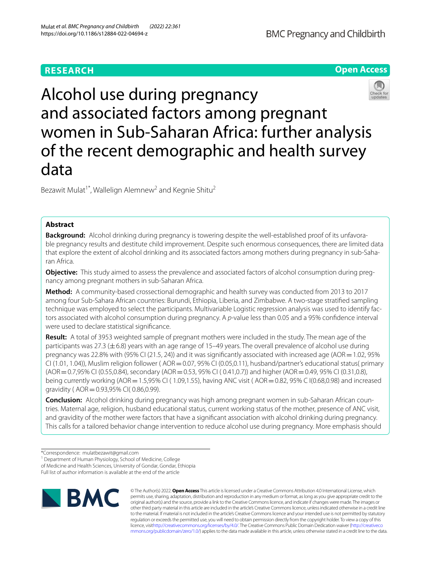# **RESEARCH**





Bezawit Mulat<sup>1\*</sup>, Wallelign Alemnew<sup>2</sup> and Kegnie Shitu<sup>2</sup>

# **Abstract**

**Background:** Alcohol drinking during pregnancy is towering despite the well-established proof of its unfavorable pregnancy results and destitute child improvement. Despite such enormous consequences, there are limited data that explore the extent of alcohol drinking and its associated factors among mothers during pregnancy in sub-Saharan Africa.

**Objective:** This study aimed to assess the prevalence and associated factors of alcohol consumption during pregnancy among pregnant mothers in sub-Saharan Africa.

**Method:** A community-based crossectional demographic and health survey was conducted from 2013 to 2017 among four Sub-Sahara African countries: Burundi, Ethiopia, Liberia, and Zimbabwe. A two-stage stratifed sampling technique was employed to select the participants. Multivariable Logistic regression analysis was used to identify factors associated with alcohol consumption during pregnancy. A *p*-value less than 0.05 and a 95% confdence interval were used to declare statistical signifcance.

**Result:** A total of 3953 weighted sample of pregnant mothers were included in the study. The mean age of the participants was 27.3 (±6.8) years with an age range of 15–49 years. The overall prevalence of alcohol use during pregnancy was 22.8% with (95% CI (21.5, 24)) and it was significantly associated with increased age (AOR = 1.02, 95%  $CI (1.01, 1.04)$ , Muslim religion follower ( $AOR = 0.07$ , 95% CI (0.05,0.11), husband/partner's educational status( primary (AOR=0.7,95% CI (0.55,0.84), secondary (AOR=0.53, 95% CI ( 0.41,0.7)) and higher (AOR=0.49, 95% CI (0.31,0.8), being currently working (AOR = 1.5,95% CI (1.09,1.55), having ANC visit (AOR = 0.82, 95% C I(0.68,0.98) and increased gravidity ( AOR=0.93,95% CI( 0.86,0.99).

**Conclusion:** Alcohol drinking during pregnancy was high among pregnant women in sub-Saharan African countries. Maternal age, religion, husband educational status, current working status of the mother, presence of ANC visit, and gravidity of the mother were factors that have a signifcant association with alcohol drinking during pregnancy. This calls for a tailored behavior change intervention to reduce alcohol use during pregnancy. More emphasis should

<sup>1</sup> Department of Human Physiology, School of Medicine, College

of Medicine and Health Sciences, University of Gondar, Gondar, Ethiopia

Full list of author information is available at the end of the article



© The Author(s) 2022. **Open Access** This article is licensed under a Creative Commons Attribution 4.0 International License, which permits use, sharing, adaptation, distribution and reproduction in any medium or format, as long as you give appropriate credit to the original author(s) and the source, provide a link to the Creative Commons licence, and indicate if changes were made. The images or other third party material in this article are included in the article's Creative Commons licence, unless indicated otherwise in a credit line to the material. If material is not included in the article's Creative Commons licence and your intended use is not permitted by statutory regulation or exceeds the permitted use, you will need to obtain permission directly from the copyright holder. To view a copy of this licence, visi[thttp://creativecommons.org/licenses/by/4.0/](http://creativecommons.org/licenses/by/4.0/). The Creative Commons Public Domain Dedication waiver [\(http://creativeco](http://creativecommons.org/publicdomain/zero/1.0/) [mmons.org/publicdomain/zero/1.0/](http://creativecommons.org/publicdomain/zero/1.0/)) applies to the data made available in this article, unless otherwise stated in a credit line to the data.

<sup>\*</sup>Correspondence: mulatbezawit@gmail.com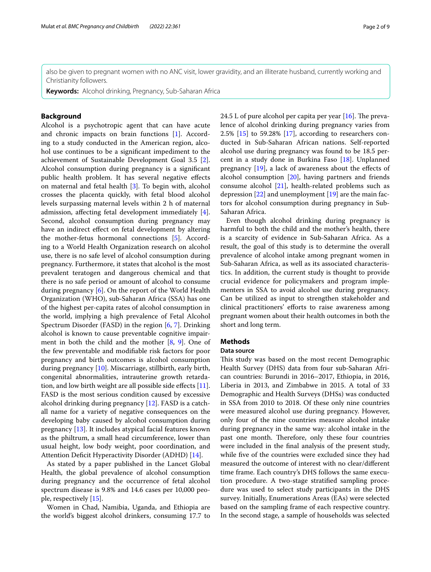also be given to pregnant women with no ANC visit, lower gravidity, and an illiterate husband, currently working and Christianity followers.

**Keywords:** Alcohol drinking, Pregnancy, Sub-Saharan Africa

# **Background**

Alcohol is a psychotropic agent that can have acute and chronic impacts on brain functions [[1](#page-7-0)]. According to a study conducted in the American region, alcohol use continues to be a signifcant impediment to the achievement of Sustainable Development Goal 3.5 [\[2](#page-7-1)]. Alcohol consumption during pregnancy is a signifcant public health problem. It has several negative efects on maternal and fetal health [[3\]](#page-7-2). To begin with, alcohol crosses the placenta quickly, with fetal blood alcohol levels surpassing maternal levels within 2 h of maternal admission, afecting fetal development immediately [\[4](#page-7-3)]. Second, alcohol consumption during pregnancy may have an indirect effect on fetal development by altering the mother-fetus hormonal connections [[5\]](#page-7-4). According to a World Health Organization research on alcohol use, there is no safe level of alcohol consumption during pregnancy. Furthermore, it states that alcohol is the most prevalent teratogen and dangerous chemical and that there is no safe period or amount of alcohol to consume during pregnancy [\[6](#page-7-5)]. On the report of the World Health Organization (WHO), sub-Saharan Africa (SSA) has one of the highest per-capita rates of alcohol consumption in the world, implying a high prevalence of Fetal Alcohol Spectrum Disorder (FASD) in the region [[6,](#page-7-5) [7](#page-7-6)]. Drinking alcohol is known to cause preventable cognitive impairment in both the child and the mother  $[8, 9]$  $[8, 9]$  $[8, 9]$ . One of the few preventable and modifable risk factors for poor pregnancy and birth outcomes is alcohol consumption during pregnancy [[10\]](#page-7-9). Miscarriage, stillbirth, early birth, congenital abnormalities, intrauterine growth retarda-tion, and low birth weight are all possible side effects [\[11](#page-7-10)]. FASD is the most serious condition caused by excessive alcohol drinking during pregnancy [[12\]](#page-7-11). FASD is a catchall name for a variety of negative consequences on the developing baby caused by alcohol consumption during pregnancy [\[13](#page-7-12)]. It includes atypical facial features known as the philtrum, a small head circumference, lower than usual height, low body weight, poor coordination, and Attention Deficit Hyperactivity Disorder (ADHD) [\[14](#page-7-13)].

As stated by a paper published in the Lancet Global Health, the global prevalence of alcohol consumption during pregnancy and the occurrence of fetal alcohol spectrum disease is 9.8% and 14.6 cases per 10,000 people, respectively [\[15](#page-7-14)].

Women in Chad, Namibia, Uganda, and Ethiopia are the world's biggest alcohol drinkers, consuming 17.7 to 24.5 L of pure alcohol per capita per year  $[16]$  $[16]$ . The prevalence of alcohol drinking during pregnancy varies from 2.5% [[15](#page-7-14)] to 59.28% [[17\]](#page-7-16), according to researchers conducted in Sub-Saharan African nations. Self-reported alcohol use during pregnancy was found to be 18.5 percent in a study done in Burkina Faso [[18](#page-7-17)]. Unplanned pregnancy [\[19](#page-7-18)], a lack of awareness about the efects of alcohol consumption [\[20](#page-7-19)], having partners and friends consume alcohol [\[21\]](#page-7-20), health-related problems such as depression [\[22](#page-7-21)] and unemployment [[19\]](#page-7-18) are the main factors for alcohol consumption during pregnancy in Sub-Saharan Africa.

Even though alcohol drinking during pregnancy is harmful to both the child and the mother's health, there is a scarcity of evidence in Sub-Saharan Africa. As a result, the goal of this study is to determine the overall prevalence of alcohol intake among pregnant women in Sub-Saharan Africa, as well as its associated characteristics. In addition, the current study is thought to provide crucial evidence for policymakers and program implementers in SSA to avoid alcohol use during pregnancy. Can be utilized as input to strengthen stakeholder and clinical practitioners' efforts to raise awareness among pregnant women about their health outcomes in both the short and long term.

# **Methods**

# **Data source**

This study was based on the most recent Demographic Health Survey (DHS) data from four sub-Saharan African countries: Burundi in 2016–2017, Ethiopia, in 2016, Liberia in 2013, and Zimbabwe in 2015. A total of 33 Demographic and Health Surveys (DHSs) was conducted in SSA from 2010 to 2018. Of these only nine countries were measured alcohol use during pregnancy. However, only four of the nine countries measure alcohol intake during pregnancy in the same way: alcohol intake in the past one month. Therefore, only these four countries were included in the fnal analysis of the present study, while five of the countries were excluded since they had measured the outcome of interest with no clear/diferent time frame. Each country's DHS follows the same execution procedure. A two-stage stratifed sampling procedure was used to select study participants in the DHS survey. Initially, Enumerations Areas (EAs) were selected based on the sampling frame of each respective country. In the second stage, a sample of households was selected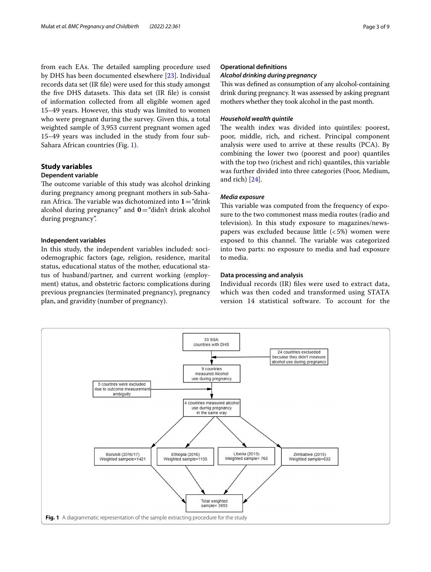from each EAs. The detailed sampling procedure used by DHS has been documented elsewhere [[23\]](#page-7-22). Individual records data set (IR fle) were used for this study amongst the five DHS datasets. This data set (IR file) is consist of information collected from all eligible women aged 15–49 years. However, this study was limited to women who were pregnant during the survey. Given this, a total weighted sample of 3,953 current pregnant women aged 15–49 years was included in the study from four sub-Sahara African countries (Fig. [1\)](#page-2-0).

# **Study variables**

### **Dependent variable**

The outcome variable of this study was alcohol drinking during pregnancy among pregnant mothers in sub-Saharan Africa. The variable was dichotomized into  $1 =$  "drink" alcohol during pregnancy" and  $0=$  "didn't drink alcohol during pregnancy".

# **Independent variables**

In this study, the independent variables included: sociodemographic factors **(**age, religion, residence, marital status, educational status of the mother, educational status of husband/partner, and current working (employment) status, and obstetric factors**:** complications during previous pregnancies (terminated pregnancy), pregnancy plan, and gravidity (number of pregnancy).

# **Operational defnitions**

### *Alcohol drinking during pregnancy*

This was defined as consumption of any alcohol-containing drink during pregnancy. It was assessed by asking pregnant mothers whether they took alcohol in the past month.

# *Household wealth quintile*

The wealth index was divided into quintiles: poorest, poor, middle, rich, and richest. Principal component analysis were used to arrive at these results (PCA). By combining the lower two (poorest and poor) quantiles with the top two (richest and rich) quantiles, this variable was further divided into three categories (Poor, Medium, and rich) [\[24](#page-7-23)].

# *Media exposure*

This variable was computed from the frequency of exposure to the two commonest mass media routes (radio and television). In this study exposure to magazines/newspapers was excluded because little  $(<5\%)$  women were exposed to this channel. The variable was categorized into two parts: no exposure to media and had exposure to media.

# **Data processing and analysis**

Individual records (IR) fles were used to extract data, which was then coded and transformed using STATA version 14 statistical software. To account for the

<span id="page-2-0"></span>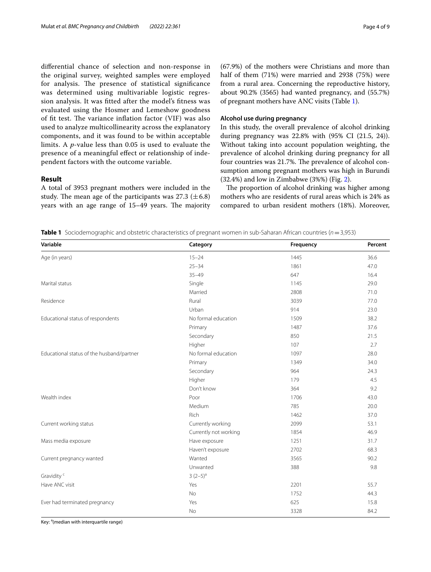diferential chance of selection and non-response in the original survey, weighted samples were employed for analysis. The presence of statistical significance was determined using multivariable logistic regression analysis. It was ftted after the model's ftness was evaluated using the Hosmer and Lemeshow goodness of fit test. The variance inflation factor (VIF) was also used to analyze multicollinearity across the explanatory components, and it was found to be within acceptable limits. A *p*-value less than 0.05 is used to evaluate the presence of a meaningful efect or relationship of independent factors with the outcome variable.

# **Result**

A total of 3953 pregnant mothers were included in the study. The mean age of the participants was 27.3 ( $\pm$  6.8) years with an age range of  $15-49$  years. The majority (67.9%) of the mothers were Christians and more than half of them (71%) were married and 2938 (75%) were from a rural area. Concerning the reproductive history, about 90.2% (3565) had wanted pregnancy, and (55.7%) of pregnant mothers have ANC visits (Table [1](#page-3-0)).

# **Alcohol use during pregnancy**

In this study, the overall prevalence of alcohol drinking during pregnancy was 22.8% with (95% CI (21.5, 24)). Without taking into account population weighting, the prevalence of alcohol drinking during pregnancy for all four countries was 21.7%. The prevalence of alcohol consumption among pregnant mothers was high in Burundi (32.4%) and low in Zimbabwe (3%%) (Fig. [2](#page-4-0)).

The proportion of alcohol drinking was higher among mothers who are residents of rural areas which is 24% as compared to urban resident mothers (18%). Moreover,

<span id="page-3-0"></span>**Table 1** Sociodemographic and obstetric characteristics of pregnant women in sub-Saharan African countries (*n*=3,953)

| Variable                                  | Category              | Frequency | Percent |
|-------------------------------------------|-----------------------|-----------|---------|
| Age (in years)                            | $15 - 24$             | 1445      | 36.6    |
|                                           | $25 - 34$             | 1861      | 47.0    |
|                                           | $35 - 49$             | 647       | 16.4    |
| Marital status                            | Single                | 1145      | 29.0    |
|                                           | Married               | 2808      | 71.0    |
| Residence                                 | Rural                 | 3039      | 77.0    |
|                                           | Urban                 | 914       | 23.0    |
| Educational status of respondents         | No formal education   | 1509      | 38.2    |
|                                           | Primary               | 1487      | 37.6    |
|                                           | Secondary             | 850       | 21.5    |
|                                           | Higher                | 107       | 2.7     |
| Educational status of the husband/partner | No formal education   | 1097      | 28.0    |
|                                           | Primary               | 1349      | 34.0    |
|                                           | Secondary             | 964       | 24.3    |
|                                           | Higher                | 179       | 4.5     |
|                                           | Don't know            | 364       | 9.2     |
| Wealth index                              | Poor                  | 1706      | 43.0    |
|                                           | Medium                | 785       | 20.0    |
|                                           | Rich                  | 1462      | 37.0    |
| Current working status                    | Currently working     | 2099      | 53.1    |
|                                           | Currently not working | 1854      | 46.9    |
| Mass media exposure                       | Have exposure         | 1251      | 31.7    |
|                                           | Haven't exposure      | 2702      | 68.3    |
| Current pregnancy wanted                  | Wanted                | 3565      | 90.2    |
|                                           | Unwanted              | 388       | 9.8     |
| Gravidity <sup>c</sup>                    | $3(2-5)^{a}$          |           |         |
| Have ANC visit                            | Yes                   | 2201      | 55.7    |
|                                           | <b>No</b>             | 1752      | 44.3    |
| Ever had terminated pregnancy             | Yes                   | 625       | 15.8    |
|                                           | <b>No</b>             | 3328      | 84.2    |

Key: <sup>a</sup>(median with interquartile range)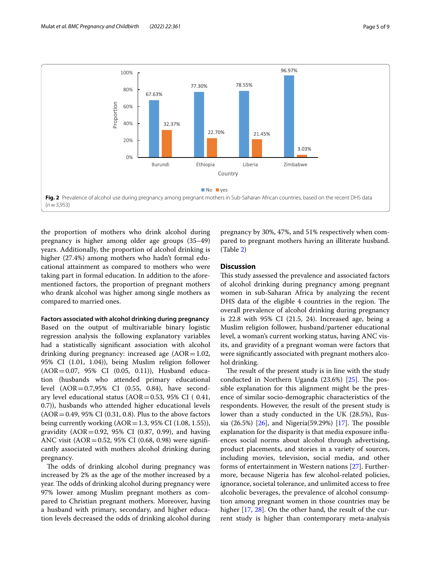

<span id="page-4-0"></span>the proportion of mothers who drink alcohol during pregnancy is higher among older age groups (35–49) years. Additionally, the proportion of alcohol drinking is higher (27.4%) among mothers who hadn't formal educational attainment as compared to mothers who were taking part in formal education. In addition to the aforementioned factors, the proportion of pregnant mothers who drank alcohol was higher among single mothers as compared to married ones.

### **Factors associated with alcohol drinking during pregnancy**

Based on the output of multivariable binary logistic regression analysis the following explanatory variables had a statistically signifcant association with alcohol drinking during pregnancy: increased age  $(AOR=1.02,$ 95% CI (1.01, 1.04)), being Muslim religion follower (AOR=0.07, 95% CI (0.05, 0.11)), Husband education (husbands who attended primary educational level (AOR=0.7,95% CI (0.55, 0.84), have secondary level educational status  $(AOR=0.53, 95\% \text{ CI } (0.41,$ 0.7)), husbands who attended higher educational levels  $(AOR = 0.49, 95\% \text{ CI } (0.31, 0.8)$ . Plus to the above factors being currently working  $(AOR = 1.3, 95\% \text{ CI } (1.08, 1.55)),$ gravidity ( $AOR = 0.92$ , 95% CI (0.87, 0.99), and having ANC visit (AOR=0.52, 95% CI (0.68, 0.98) were signifcantly associated with mothers alcohol drinking during pregnancy.

The odds of drinking alcohol during pregnancy was increased by 2% as the age of the mother increased by a year. The odds of drinking alcohol during pregnancy were 97% lower among Muslim pregnant mothers as compared to Christian pregnant mothers. Moreover, having a husband with primary, secondary, and higher education levels decreased the odds of drinking alcohol during

pregnancy by 30%, 47%, and 51% respectively when compared to pregnant mothers having an illiterate husband. (Table [2\)](#page-5-0)

### **Discussion**

This study assessed the prevalence and associated factors of alcohol drinking during pregnancy among pregnant women in sub-Saharan Africa by analyzing the recent DHS data of the eligible 4 countries in the region. The overall prevalence of alcohol drinking during pregnancy is 22.8 with 95% CI (21.5, 24). Increased age, being a Muslim religion follower, husband/partener educational level, a woman's current working status, having ANC visits, and gravidity of a pregnant woman were factors that were signifcantly associated with pregnant mothers alcohol drinking.

The result of the present study is in line with the study conducted in Northern Uganda  $(23.6%)$   $[25]$  $[25]$ . The possible explanation for this alignment might be the presence of similar socio-demographic characteristics of the respondents. However, the result of the present study is lower than a study conducted in the UK (28.5%), Russia (26.5%)  $[26]$  $[26]$ , and Nigeria(59.29%)  $[17]$  $[17]$ . The possible explanation for the disparity is that media exposure infuences social norms about alcohol through advertising, product placements, and stories in a variety of sources, including movies, television, social media, and other forms of entertainment in Western nations [[27](#page-7-26)]. Furthermore, because Nigeria has few alcohol-related policies, ignorance, societal tolerance, and unlimited access to free alcoholic beverages, the prevalence of alcohol consumption among pregnant women in those countries may be higher [\[17](#page-7-16), [28\]](#page-7-27). On the other hand, the result of the current study is higher than contemporary meta-analysis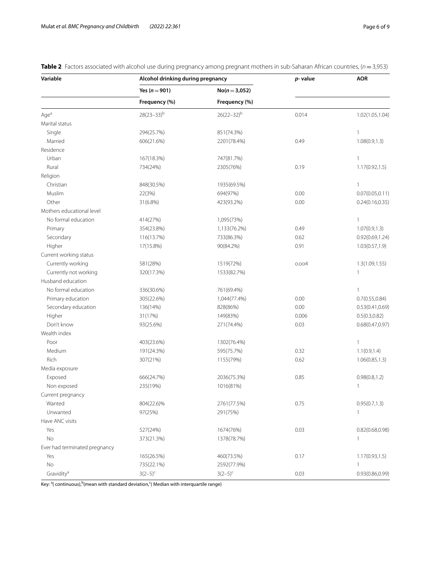| Variable                      | Alcohol drinking during pregnancy |                 | $p$ - value | <b>AOR</b>       |
|-------------------------------|-----------------------------------|-----------------|-------------|------------------|
|                               | Yes ( $n = 901$ )                 | $No(n=3,052)$   |             |                  |
|                               | Frequency (%)                     | Frequency (%)   |             |                  |
| Aqe <sup>a</sup>              | $28(23-33)^{b}$                   | $26(22-32)^{b}$ | 0.014       | 1.02(1.05,1.04)  |
| Marital status                |                                   |                 |             |                  |
| Single                        | 294(25.7%)                        | 851(74.3%)      |             | $\mathbf{1}$     |
| Married                       | 606(21.6%)                        | 2201(78.4%)     | 0.49        | 1.08(0.9, 1.3)   |
| Residence                     |                                   |                 |             |                  |
| Urban                         | 167(18.3%)                        | 747(81.7%)      |             | $\mathbf{1}$     |
| Rural                         | 734(24%)                          | 2305(76%)       | 0.19        | 1.17(0.92, 1.5)  |
| Religion                      |                                   |                 |             |                  |
| Christian                     | 848(30.5%)                        | 1935(69.5%)     |             | $\mathbf{1}$     |
| Muslim                        | 22(3%)                            | 694(97%)        | 0.00        | 0.07(0.05, 0.11) |
| Other                         | 31(6.8%)                          | 423(93.2%)      | 0.00        | 0.24(0.16, 0.35) |
| Mothers educational level     |                                   |                 |             |                  |
| No formal education           | 414(27%)                          | 1,095(73%)      |             | $\mathbf{1}$     |
| Primary                       | 354(23.8%)                        | 1,133(76.2%)    | 0.49        | 1.07(0.9, 1.3)   |
| Secondary                     | 116(13.7%)                        | 733(86.3%)      | 0.62        | 0.92(0.69, 1.24) |
| Higher                        | 17(15.8%)                         | 90(84.2%)       | 0.91        | 1.03(0.57, 1.9)  |
| Current working status        |                                   |                 |             |                  |
| Currently working             | 581(28%)                          | 1519(72%)       | 0.004       | 1.3(1.09, 1.55)  |
| Currently not working         | 320(17.3%)                        | 1533(82.7%)     |             | 1                |
| Husband education             |                                   |                 |             |                  |
| No formal education           | 336(30.6%)                        | 761(69.4%)      |             | $\mathbf{1}$     |
| Primary education             | 305(22.6%)                        | 1,044(77.4%)    | 0.00        | 0.7(0.55, 0.84)  |
| Secondary education           | 136(14%)                          | 828(86%)        | 0.00        | 0.53(0.41, 0.69) |
| Higher                        | 31(17%)                           | 149(83%)        | 0.006       | 0.5(0.3, 0.82)   |
| Don't know                    | 93(25.6%)                         | 271(74.4%)      | 0.03        | 0.68(0.47, 0.97) |
| Wealth index                  |                                   |                 |             |                  |
| Poor                          | 403(23.6%)                        | 1302(76.4%)     |             | $\mathbf{1}$     |
| Medium                        | 191(24.3%)                        | 595(75.7%)      | 0.32        | 1.1(0.9, 1.4)    |
| Rich                          | 307(21%)                          | 1155(79%)       | 0.62        | 1.06(0.85, 1.3)  |
| Media exposure                |                                   |                 |             |                  |
| Exposed                       | 666(24.7%)                        | 2036(75.3%)     | 0.85        | 0.98(0.8, 1.2)   |
| Non exposed                   | 235(19%)                          | 1016(81%)       |             | 1                |
| Current pregnancy             |                                   |                 |             |                  |
| Wanted                        | 804(22.6)%                        | 2761(77.5%)     | 0.75        | 0.95(0.7, 1.3)   |
| Unwanted                      | 97(25%)                           | 291(75%)        |             | 1                |
| Have ANC visits               |                                   |                 |             |                  |
| Yes                           | 527(24%)                          | 1674(76%)       | 0.03        | 0.82(0.68, 0.98) |
| No                            | 373(21.3%)                        | 1378(78.7%)     |             | 1                |
| Ever had terminated pregnancy |                                   |                 |             |                  |
| Yes                           | 165(26.5%)                        | 460(73.5%)      | 0.17        | 1.17(0.93, 1.5)  |
| No                            | 735(22.1%)                        | 2592(77.9%)     |             | 1                |
| Gravidity <sup>a</sup>        | $3(2-5)^{c}$                      | $3(2-5)^{c}$    | 0.03        | 0.93(0.86, 0.99) |

<span id="page-5-0"></span>**Table 2** Factors associated with alcohol use during pregnancy among pregnant mothers in sub-Saharan African countries, (*n* = 3,953)

Key: <sup>a</sup>( continuous), <sup>b</sup>(mean with standard deviation, <sup>c</sup>( Median with interquartile range)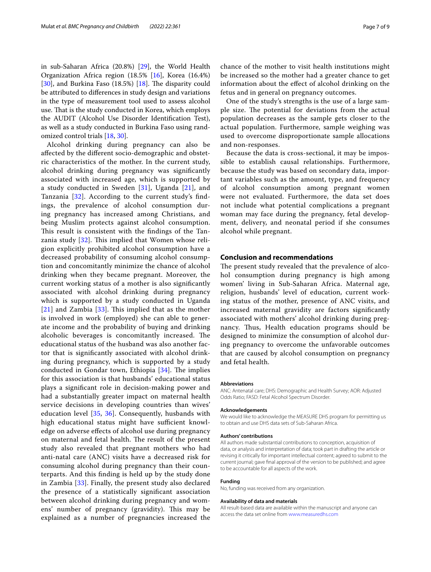in sub-Saharan Africa (20.8%) [[29\]](#page-7-28), the World Health Organization Africa region (18.5% [\[16](#page-7-15)], Korea (16.4%) [[30\]](#page-7-29), and Burkina Faso  $(18.5%)$  [\[18](#page-7-17)]. The disparity could be attributed to diferences in study design and variations in the type of measurement tool used to assess alcohol use. That is the study conducted in Korea, which employs the AUDIT (Alcohol Use Disorder Identifcation Test), as well as a study conducted in Burkina Faso using randomized control trials [\[18](#page-7-17), [30\]](#page-7-29).

Alcohol drinking during pregnancy can also be afected by the diferent socio-demographic and obstetric characteristics of the mother. In the current study, alcohol drinking during pregnancy was signifcantly associated with increased age, which is supported by a study conducted in Sweden  $[31]$  $[31]$ , Uganda  $[21]$  $[21]$ , and Tanzania [[32\]](#page-7-31). According to the current study's fndings, the prevalence of alcohol consumption during pregnancy has increased among Christians, and being Muslim protects against alcohol consumption. This result is consistent with the findings of the Tanzania study  $[32]$  $[32]$ . This implied that Women whose religion explicitly prohibited alcohol consumption have a decreased probability of consuming alcohol consumption and concomitantly minimize the chance of alcohol drinking when they became pregnant. Moreover, the current working status of a mother is also signifcantly associated with alcohol drinking during pregnancy which is supported by a study conducted in Uganda  $[21]$  $[21]$  $[21]$  and Zambia  $[33]$  $[33]$ . This implied that as the mother is involved in work (employed) she can able to generate income and the probability of buying and drinking alcoholic beverages is concomitantly increased. The educational status of the husband was also another factor that is signifcantly associated with alcohol drinking during pregnancy, which is supported by a study conducted in Gondar town, Ethiopia  $[34]$  $[34]$ . The implies for this association is that husbands' educational status plays a signifcant role in decision-making power and had a substantially greater impact on maternal health service decisions in developing countries than wives' education level [[35,](#page-8-0) [36](#page-8-1)]. Consequently, husbands with high educational status might have sufficient knowledge on adverse efects of alcohol use during pregnancy on maternal and fetal health. The result of the present study also revealed that pregnant mothers who had anti-natal care (ANC) visits have a decreased risk for consuming alcohol during pregnancy than their counterparts. And this fnding is held up by the study done in Zambia [[33\]](#page-7-32). Finally, the present study also declared the presence of a statistically signifcant association between alcohol drinking during pregnancy and womens' number of pregnancy (gravidity). This may be explained as a number of pregnancies increased the chance of the mother to visit health institutions might be increased so the mother had a greater chance to get information about the efect of alcohol drinking on the fetus and in general on pregnancy outcomes.

One of the study's strengths is the use of a large sample size. The potential for deviations from the actual population decreases as the sample gets closer to the actual population. Furthermore, sample weighing was used to overcome disproportionate sample allocations and non-responses.

Because the data is cross-sectional, it may be impossible to establish causal relationships. Furthermore, because the study was based on secondary data, important variables such as the amount, type, and frequency of alcohol consumption among pregnant women were not evaluated. Furthermore, the data set does not include what potential complications a pregnant woman may face during the pregnancy, fetal development, delivery, and neonatal period if she consumes alcohol while pregnant.

# **Conclusion and recommendations**

The present study revealed that the prevalence of alcohol consumption during pregnancy is high among women' living in Sub-Saharan Africa. Maternal age, religion, husbands' level of education, current working status of the mother, presence of ANC visits, and increased maternal gravidity are factors signifcantly associated with mothers' alcohol drinking during pregnancy. Thus, Health education programs should be designed to minimize the consumption of alcohol during pregnancy to overcome the unfavorable outcomes that are caused by alcohol consumption on pregnancy and fetal health.

#### **Abbreviations**

ANC: Antenatal care; DHS: Demographic and Health Survey; AOR: Adjusted Odds Ratio; FASD: Fetal Alcohol Spectrum Disorder.

#### **Acknowledgements**

We would like to acknowledge the MEASURE DHS program for permitting us to obtain and use DHS data sets of Sub-Saharan Africa.

### **Authors' contributions**

All authors made substantial contributions to conception, acquisition of data, or analysis and interpretation of data; took part in drafting the article or revising it critically for important intellectual content; agreed to submit to the current journal; gave fnal approval of the version to be published; and agree to be accountable for all aspects of the work.

#### **Funding**

No, funding was received from any organization.

#### **Availability of data and materials**

All result-based data are available within the manuscript and anyone can access the data set online from [www.measuredhs.com](http://www.measuredhs.com)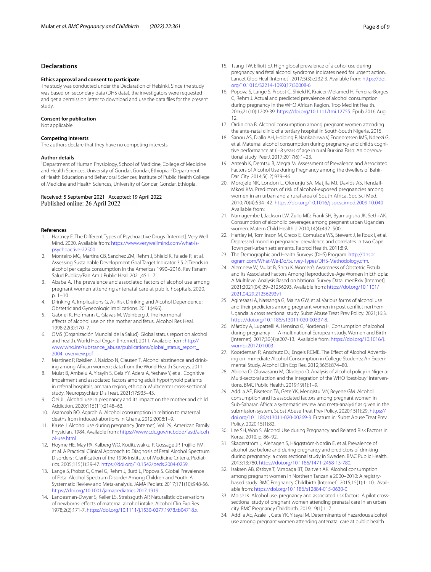### **Declarations**

#### **Ethics approval and consent to participate**

The study was conducted under the Declaration of Helsinki. Since the study was based on secondary data (DHS data), the investigators were requested and get a permission letter to download and use the data fles for the present study.

### **Consent for publication**

Not applicable.

### **Competing interests**

The authors declare that they have no competing interests.

### **Author details**

<sup>1</sup> Department of Human Physiology, School of Medicine, College of Medicine and Health Sciences, University of Gondar, Gondar, Ethiopia. <sup>2</sup>Department of Health Education and Behavioral Sciences, Institute of Public Health College of Medicine and Health Sciences, University of Gondar, Gondar, Ethiopia.

### Received: 5 September 2021 Accepted: 19 April 2022 Published online: 26 April 2022

### **References**

- <span id="page-7-0"></span>1. Hartney E. The Diferent Types of Psychoactive Drugs [Internet]. Very Well Mind. 2020. Available from: [https://www.verywellmind.com/what-is](https://www.verywellmind.com/what-is-psychoactive-22500)[psychoactive-22500](https://www.verywellmind.com/what-is-psychoactive-22500)
- <span id="page-7-1"></span>2. Monteiro MG, Martins CB, Sanchez ZM, Rehm J, Shield K, Falade R, et al. Assessing Sustainable Development Goal Target Indicator 3.5.2: Trends in alcohol per capita consumption in the Americas 1990–2016. Rev Panam Salud Publica/Pan Am J Public Heal. 2021;45:1–7.
- <span id="page-7-2"></span>3. Ababa A. The prevalence and associated factors of alcohol use among pregnant women attending antenatal care at public hospitals. 2020. p. 1–10.
- <span id="page-7-3"></span>4. Drinking A, Implications G. At-Risk Drinking and Alcohol Dependence : Obstetric and Gynecologic Implications. 2011;(496).
- <span id="page-7-4"></span>5. Gabriel K, Hofmann C, Glavas M, Weinberg J. The hormonal efects of alcohol use on the mother and fetus. Alcohol Res Heal. 1998;22(3):170–7.
- <span id="page-7-5"></span>6. OMS (Organización Mundial de la Salud). Global status report on alcohol and health. World Heal Organ [Internet]. 2011; Available from: [http://](http://www.who.int/substance_abuse/publications/global_status_report_2004_overview.pdf) [www.who.int/substance\\_abuse/publications/global\\_status\\_report\\_](http://www.who.int/substance_abuse/publications/global_status_report_2004_overview.pdf) [2004\\_overview.pdf](http://www.who.int/substance_abuse/publications/global_status_report_2004_overview.pdf)
- <span id="page-7-6"></span>7. Martinez P, Røislien J, Naidoo N, Clausen T. Alcohol abstinence and drinking among African women : data from the World Health Surveys. 2011.
- <span id="page-7-7"></span>8. Mulat B, Ambelu A, Yitayih S, Gela YY, Adera A, Yeshaw Y, et al. Cognitive impairment and associated factors among adult hypothyroid patients in referral hospitals, amhara region, ethiopia: Multicenter cross-sectional study. Neuropsychiatr Dis Treat. 2021;17:935–43.
- <span id="page-7-8"></span>9. Oei JL. Alcohol use in pregnancy and its impact on the mother and child. Addiction. 2020;115(11):2148–63.
- <span id="page-7-9"></span>10. Asamoah BO, Agardh A. Alcohol consumption in relation to maternal deaths from induced-abortions in Ghana. 2012;2008:1–9.
- <span id="page-7-10"></span>11. Kruse J. Alcohol use during pregnancy [Internet]. Vol. 29, American Family Physician. 1984. Available from: [https://www.cdc.gov/ncbddd/fasd/alcoh](https://www.cdc.gov/ncbddd/fasd/alcohol-use.html) [ol-use.html](https://www.cdc.gov/ncbddd/fasd/alcohol-use.html)
- <span id="page-7-11"></span>12. Hoyme HE, May PA, Kalberg WO, Kodituwakku P, Gossage JP, Trujillo PM, et al. A Practical Clinical Approach to Diagnosis of Fetal Alcohol Spectrum Disorders : Clarifcation of the 1996 Institute of Medicine Criteria. Pediatrics. 2005;115(1):39-47.<https://doi.org/10.1542/peds.2004-0259>.
- <span id="page-7-12"></span>13. Lange S, Probst C, Gmel G, Rehm J, Burd L, Popova S. Global Prevalence of Fetal Alcohol Spectrum Disorder Among Children and Youth: A Systematic Review and Meta-analysis. JAMA Pediatr. 2017;171(10):948-56. <https://doi.org/10.1001/jamapediatrics.2017.1919>.
- <span id="page-7-13"></span>14. Landesman-Dwyer S, Keller LS, Streissguth AP. Naturalistic observations of newborns: efects of maternal alcohol intake. Alcohol Clin Exp Res. 1978;2(2):171-7. [https://doi.org/10.1111/j.1530-0277.1978.tb04718.x.](https://doi.org/10.1111/j.1530-0277.1978.tb04718.x)
- <span id="page-7-14"></span>15. Tsang TW, Elliott EJ. High global prevalence of alcohol use during pregnancy and fetal alcohol syndrome indicates need for urgent action. Lancet Glob Heal [Internet]. 2017;5(3):e232-3. Available from: [https://doi.](https://doi.org/10.1016/S2214-109X(17)30008-6) [org/10.1016/S2214-109X\(17\)30008-6](https://doi.org/10.1016/S2214-109X(17)30008-6)
- <span id="page-7-15"></span>16. Popova S, Lange S, Probst C, Shield K, Kraicer-Melamed H, Ferreira-Borges C, Rehm J. Actual and predicted prevalence of alcohol consumption during pregnancy in the WHO African Region. Trop Med Int Health. 2016;21(10):1209-39. <https://doi.org/10.1111/tmi.12755>. Epub 2016 Aug 12.
- <span id="page-7-16"></span>17. Ordinioha B. Alcohol consumption among pregnant women attending the ante-natal clinic of a tertiary hospital in South-South Nigeria. 2015.
- <span id="page-7-17"></span>18. Sanou AS, Diallo AH, Holding P, Nankabirwa V, Engebretsen IMS, Ndeezi G, et al. Maternal alcohol consumption during pregnancy and child's cognitive performance at 6–8 years of age in rural Burkina Faso: An observational study. PeerJ. 2017;2017(6):1–23.
- <span id="page-7-18"></span>19. Anteab K, Demtsu B, Megra M. Assessment of Prevalence and Associated Factors of Alcohol Use during Pregnancy among the dwellers of Bahir-Dar. City. 2014;5(12):939–46.
- <span id="page-7-19"></span>20. Morojele NK, London L, Olorunju SA, Matjila MJ, Davids AS, Rendall-Mkosi KM. Predictors of risk of alcohol-exposed pregnancies among women in an urban and a rural area of South Africa. Soc Sci Med. 2010;70(4):534–42. <https://doi.org/10.1016/j.socscimed.2009.10.040> Available from:
- <span id="page-7-20"></span>21. Namagembe I, Jackson LW, Zullo MD, Frank SH, Byamugisha JK, Sethi AK. Consumption of alcoholic beverages among pregnant urban Ugandan women. Matern Child Health J. 2010;14(4):492–500.
- <span id="page-7-21"></span>22. Hartley M, Tomlinson M, Greco E, Comulada WS, Stewart J, le Roux I, et al. Depressed mood in pregnancy: prevalence and correlates in two Cape Town peri-urban settlements. Reprod Health. 2011;8:9.
- <span id="page-7-22"></span>23. The Demographic and Health Surveys (DHS) Program. [http://dhspr](http://dhsprogram.com/What-We-Do/Survey-Types/DHS-Methodology.cfm) [ogram.com/What-We-Do/Survey-Types/DHS-Methodology.cfm](http://dhsprogram.com/What-We-Do/Survey-Types/DHS-Methodology.cfm).
- <span id="page-7-23"></span>24. Alemnew W, Mulat B, Shitu K. Women's Awareness of Obstetric Fistula and its Associated Factors Among Reproductive-Age Women in Ethiopia: A Multilevel Analysis Based on National Survey Data. medRxiv [Internet]. 2021;2021(04):29–21256293. Available from: [https://doi.org/10.1101/](https://doi.org/10.1101/2021.04.29.21256293v1) [2021.04.29.21256293v1](https://doi.org/10.1101/2021.04.29.21256293v1)
- <span id="page-7-24"></span>25. Agiresaasi A, Nassanga G, Maina GW, et al. Various forms of alcohol use and their predictors among pregnant women in post confict northern Uganda: a cross sectional study. Subst Abuse Treat Prev Policy. 2021;16:3. <https://doi.org/10.1186/s13011-020-00337-8>.
- <span id="page-7-25"></span>26. Mårdby A, Lupattelli A, Hensing G, Nordeng H. Consumption of alcohol during pregnancy — A multinational European study. Women and Birth [Internet]. 2017;30(4):e207-13. Available from: [https://doi.org/10.1016/j.](https://doi.org/10.1016/j.wombi.2017.01.003) [wombi.2017.01.003](https://doi.org/10.1016/j.wombi.2017.01.003)
- <span id="page-7-26"></span>27. Koordeman R, Anschutz DJ, Engels RCME. The Effect of Alcohol Advertising on Immediate Alcohol Consumption in College Students: An Experimental Study. Alcohol Clin Exp Res. 2012;36(5):874–80.
- <span id="page-7-27"></span>28. Abiona O, Oluwasanu M, Oladepo O. Analysis of alcohol policy in Nigeria: Multi-sectoral action and the integration of the WHO "best-buy" interventions. BMC Public Health. 2019;19(1):1–9.
- <span id="page-7-28"></span>29. Addila AE, Bisetegn TA, Gete YK, Mengistu MY, Beyene GM. Alcohol consumption and its associated factors among pregnant women in Sub-Saharan Africa: a systematic review and meta-analysis' as given in the submission system. Subst Abuse Treat Prev Policy. 2020;15(1):29. [https://](https://doi.org/10.1186/s13011-020-00269-3) [doi.org/10.1186/s13011-020-00269-3](https://doi.org/10.1186/s13011-020-00269-3). Erratum in: Subst Abuse Treat Prev Policy. 2020;15(1):82.
- <span id="page-7-29"></span>30. Lee SH, Won S. Alcohol Use during Pregnancy and Related Risk Factors in Korea. 2010. p. 86–92.
- <span id="page-7-30"></span>31. Skagerström J, Alehagen S, Häggström-Nordin E, et al. Prevalence of alcohol use before and during pregnancy and predictors of drinking during pregnancy: a cross sectional study in Sweden. BMC Public Health. 2013;13:780.<https://doi.org/10.1186/1471-2458-13-780>.
- <span id="page-7-31"></span>32. Isaksen AB, Østbye T, Mmbaga BT, Daltveit AK. Alcohol consumption among pregnant women in Northern Tanzania 2000–2010: A registrybased study. BMC Pregnancy Childbirth [Internet]. 2015;15(1):1–10. Available from:<https://doi.org/10.1186/s12884-015-0630-0>
- <span id="page-7-32"></span>33. Moise IK. Alcohol use, pregnancy and associated risk factors: A pilot crosssectional study of pregnant women attending prenatal care in an urban city. BMC Pregnancy Childbirth. 2019;19(1):1–7.
- <span id="page-7-33"></span>34. Addila AE, Azale T, Gete YK, Yitayal M. Determinants of hazardous alcohol use among pregnant women attending antenatal care at public health